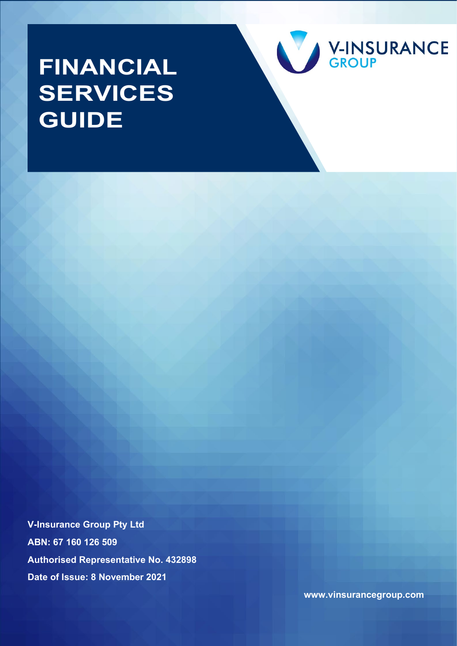# **FINANCIAL SERVICES GUIDE**



**V-Insurance Group Pty Ltd ABN: 67 160 126 509 Authorised Representative No. 432898 Date of Issue: 8 November 2021**

**www.vinsurancegroup.com**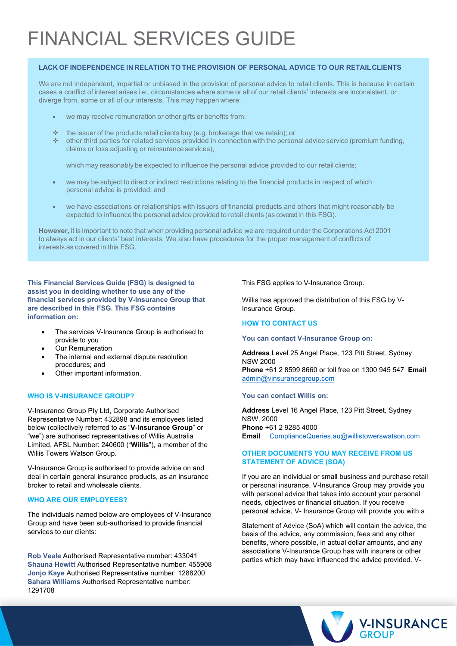# FINANCIAL SERVICES GUIDE

#### **LACK OF INDEPENDENCE IN RELATION TO THE PROVISION OF PERSONAL ADVICE TO OUR RETAILCLIENTS**

We are not independent, impartial or unbiased in the provision of personal advice to retail clients. This is because in certain cases a conflict of interest arises i.e., circumstances where some or all of our retail clients' interests are inconsistent, or diverge from, some or all of our interests. This may happen where:

- we may receive remuneration or other gifts or benefits from:
- $\cdot$  the issuer of the products retail clients buy (e.g. brokerage that we retain); or
- other third parties for related services provided in connection with the personal advice service (premium funding, claims or loss adjusting or reinsurance services),

which may reasonably be expected to influence the personal advice provided to our retail clients;

- we may be subject to direct or indirect restrictions relating to the financial products in respect of which personal advice is provided; and
- we have associations or relationships with issuers of financial products and others that might reasonably be expected to influence the personal advice provided to retail clients (as covered in this FSG).

**However,** it is important to note that when providing personal advice we are required under the Corporations Act 2001 to always act in our clients' best interests. We also have procedures for the proper management of conflicts of interests as covered in this FSG.

**This Financial Services Guide (FSG) is designed to assist you in deciding whether to use any of the financial services provided by V-Insurance Group that are described in this FSG. This FSG contains information on:**

- The services V-Insurance Group is authorised to provide to you
- **Our Remuneration**
- The internal and external dispute resolution procedures; and
- Other important information.

#### **WHO IS V-INSURANCE GROUP?**

V-Insurance Group Pty Ltd, Corporate Authorised Representative Number: 432898 and its employees listed below (collectively referred to as "**V-Insurance Group**" or "**we**") are authorised representatives of Willis Australia Limited, AFSL Number: 240600 ("**Willis**"), a member of the Willis Towers Watson Group.

V-Insurance Group is authorised to provide advice on and deal in certain general insurance products, as an insurance broker to retail and wholesale clients.

## **WHO ARE OUR EMPLOYEES?**

The individuals named below are employees of V-Insurance Group and have been sub-authorised to provide financial services to our clients:

**Rob Veale** Authorised Representative number: 433041 **Shauna Hewitt** Authorised Representative number: 455908 **Jonjo Kaye** Authorised Representative number: 1288200 **Sahara Williams** Authorised Representative number: 1291708

This FSG applies to V-Insurance Group.

Willis has approved the distribution of this FSG by V-Insurance Group.

#### **HOW TO CONTACT US**

#### **You can contact V-Insurance Group on:**

**Address** Level 25 Angel Place, 123 Pitt Street, Sydney NSW 2000 **Phone** +61 2 8599 8660 or toll free on 1300 945 547 **Email** admin@vinsurancegroup.com

#### **You can contact Willis on:**

**Address** [Level 16 Angel Place, 123 Pitt](mailto:admin@vinsurancegroup.com) Street, Sydney NSW, 2000 **Phone** +61 2 9285 4000 **Email** ComplianceQueries.au@willistowerswatson.com

## **OTHER DOCUMENTS YOU MAY RECEIVE FROM US STATE[MENT OF ADVICE \(SOA\)](mailto:ComplianceQueries.au@willistowerswatson.com)**

If you are an individual or small business and purchase retail or personal insurance, V-Insurance Group may provide you with personal advice that takes into account your personal needs, objectives or financial situation. If you receive personal advice, V- Insurance Group will provide you with a

Statement of Advice (SoA) which will contain the advice, the basis of the advice, any commission, fees and any other benefits, where possible, in actual dollar amounts, and any associations V-Insurance Group has with insurers or other parties which may have influenced the advice provided. V-

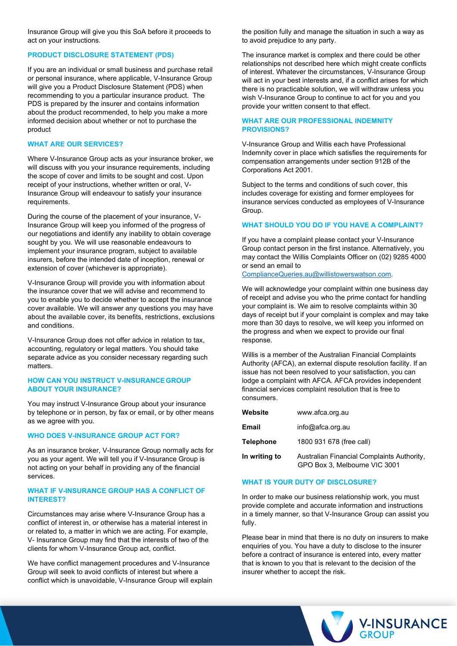Insurance Group will give you this SoA before it proceeds to act on your instructions.

#### **PRODUCT DISCLOSURE STATEMENT (PDS)**

If you are an individual or small business and purchase retail or personal insurance, where applicable, V-Insurance Group will give you a Product Disclosure Statement (PDS) when recommending to you a particular insurance product. The PDS is prepared by the insurer and contains information about the product recommended, to help you make a more informed decision about whether or not to purchase the product

#### **WHAT ARE OUR SERVICES?**

Where V-Insurance Group acts as your insurance broker, we will discuss with you your insurance requirements, including the scope of cover and limits to be sought and cost. Upon receipt of your instructions, whether written or oral, V-Insurance Group will endeavour to satisfy your insurance requirements.

During the course of the placement of your insurance, V-Insurance Group will keep you informed of the progress of our negotiations and identify any inability to obtain coverage sought by you. We will use reasonable endeavours to implement your insurance program, subject to available insurers, before the intended date of inception, renewal or extension of cover (whichever is appropriate).

V-Insurance Group will provide you with information about the insurance cover that we will advise and recommend to you to enable you to decide whether to accept the insurance cover available. We will answer any questions you may have about the available cover, its benefits, restrictions, exclusions and conditions.

V-Insurance Group does not offer advice in relation to tax, accounting, regulatory or legal matters. You should take separate advice as you consider necessary regarding such matters.

#### **HOW CAN YOU INSTRUCT V-INSURANCEGROUP ABOUT YOUR INSURANCE?**

You may instruct V-Insurance Group about your insurance by telephone or in person, by fax or email, or by other means as we agree with you.

#### **WHO DOES V-INSURANCE GROUP ACT FOR?**

As an insurance broker, V-Insurance Group normally acts for you as your agent. We will tell you if V-Insurance Group is not acting on your behalf in providing any of the financial services.

#### **WHAT IF V-INSURANCE GROUP HAS A CONFLICT OF INTEREST?**

Circumstances may arise where V-Insurance Group has a conflict of interest in, or otherwise has a material interest in or related to, a matter in which we are acting. For example, V- Insurance Group may find that the interests of two of the clients for whom V-Insurance Group act, conflict.

We have conflict management procedures and V-Insurance Group will seek to avoid conflicts of interest but where a conflict which is unavoidable, V-Insurance Group will explain

the position fully and manage the situation in such a way as to avoid prejudice to any party.

The insurance market is complex and there could be other relationships not described here which might create conflicts of interest. Whatever the circumstances, V-Insurance Group will act in your best interests and, if a conflict arises for which there is no practicable solution, we will withdraw unless you wish V-Insurance Group to continue to act for you and you provide your written consent to that effect.

#### **WHAT ARE OUR PROFESSIONAL INDEMNITY PROVISIONS?**

V-Insurance Group and Willis each have Professional Indemnity cover in place which satisfies the requirements for compensation arrangements under section 912B of the Corporations Act 2001.

Subject to the terms and conditions of such cover, this includes coverage for existing and former employees for insurance services conducted as employees of V-Insurance Group.

#### **WHAT SHOULD YOU DO IF YOU HAVE A COMPLAINT?**

If you have a complaint please contact your V-Insurance Group contact person in the first instance. Alternatively, you may contact the Willis Complaints Officer on (02) 9285 4000 or send an email to

[ComplianceQueries.au@willistowerswatson.com.](mailto:ComplianceQueries.au@willistowerswatson.com)

We will acknowledge your complaint within one business day of receipt and advise you who the prime contact for handling your complaint is. We aim to resolve complaints within 30 days of receipt but if your complaint is complex and may take more than 30 days to resolve, we will keep you informed on the progress and when we expect to provide our final response.

Willis is a member of the Australian Financial Complaints Authority (AFCA), an external dispute resolution facility. If an issue has not been resolved to your satisfaction, you can lodge a complaint with AFCA. AFCA provides independent financial services complaint resolution that is free to consumers.

| Website          | www.afca.org.au                                                             |
|------------------|-----------------------------------------------------------------------------|
| <b>Email</b>     | $info@a$ fca.org.au                                                         |
| <b>Telephone</b> | 1800 931 678 (free call)                                                    |
| In writing to    | Australian Financial Complaints Authority,<br>GPO Box 3. Melbourne VIC 3001 |

#### **WHAT IS YOUR DUTY OF DISCLOSURE?**

In order to make our business relationship work, you must provide complete and accurate information and instructions in a timely manner, so that V-Insurance Group can assist you fully.

Please bear in mind that there is no duty on insurers to make enquiries of you. You have a duty to disclose to the insurer before a contract of insurance is entered into, every matter that is known to you that is relevant to the decision of the insurer whether to accept the risk.

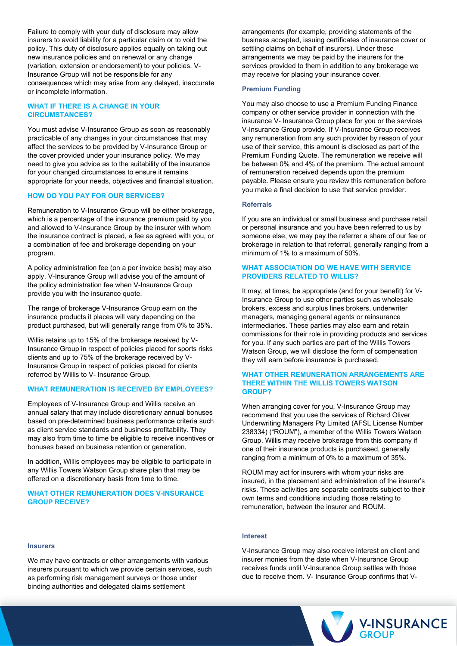Failure to comply with your duty of disclosure may allow insurers to avoid liability for a particular claim or to void the policy. This duty of disclosure applies equally on taking out new insurance policies and on renewal or any change (variation, extension or endorsement) to your policies. V-Insurance Group will not be responsible for any consequences which may arise from any delayed, inaccurate or incomplete information.

### **WHAT IF THERE IS A CHANGE IN YOUR CIRCUMSTANCES?**

You must advise V-Insurance Group as soon as reasonably practicable of any changes in your circumstances that may affect the services to be provided by V-Insurance Group or the cover provided under your insurance policy. We may need to give you advice as to the suitability of the insurance for your changed circumstances to ensure it remains appropriate for your needs, objectives and financial situation.

#### **HOW DO YOU PAY FOR OUR SERVICES?**

Remuneration to V-Insurance Group will be either brokerage, which is a percentage of the insurance premium paid by you and allowed to V-Insurance Group by the insurer with whom the insurance contract is placed, a fee as agreed with you, or a combination of fee and brokerage depending on your program.

A policy administration fee (on a per invoice basis) may also apply. V-Insurance Group will advise you of the amount of the policy administration fee when V-Insurance Group provide you with the insurance quote.

The range of brokerage V-Insurance Group earn on the insurance products it places will vary depending on the product purchased, but will generally range from 0% to 35%.

Willis retains up to 15% of the brokerage received by V-Insurance Group in respect of policies placed for sports risks clients and up to 75% of the brokerage received by V-Insurance Group in respect of policies placed for clients referred by Willis to V- Insurance Group.

#### **WHAT REMUNERATION IS RECEIVED BY EMPLOYEES?**

Employees of V-Insurance Group and Willis receive an annual salary that may include discretionary annual bonuses based on pre-determined business performance criteria such as client service standards and business profitability. They may also from time to time be eligible to receive incentives or bonuses based on business retention or generation.

In addition, Willis employees may be eligible to participate in any Willis Towers Watson Group share plan that may be offered on a discretionary basis from time to time.

#### **WHAT OTHER REMUNERATION DOES V-INSURANCE GROUP RECEIVE?**

**Insurers**

We may have contracts or other arrangements with various insurers pursuant to which we provide certain services, such as performing risk management surveys or those under binding authorities and delegated claims settlement

arrangements (for example, providing statements of the business accepted, issuing certificates of insurance cover or settling claims on behalf of insurers). Under these arrangements we may be paid by the insurers for the services provided to them in addition to any brokerage we may receive for placing your insurance cover.

#### **Premium Funding**

You may also choose to use a Premium Funding Finance company or other service provider in connection with the insurance V- Insurance Group place for you or the services V-Insurance Group provide. If V-Insurance Group receives any remuneration from any such provider by reason of your use of their service, this amount is disclosed as part of the Premium Funding Quote. The remuneration we receive will be between 0% and 4% of the premium. The actual amount of remuneration received depends upon the premium payable. Please ensure you review this remuneration before you make a final decision to use that service provider.

#### **Referrals**

If you are an individual or small business and purchase retail or personal insurance and you have been referred to us by someone else, we may pay the referrer a share of our fee or brokerage in relation to that referral, generally ranging from a minimum of 1% to a maximum of 50%.

#### **WHAT ASSOCIATION DO WE HAVE WITH SERVICE PROVIDERS RELATED TO WILLIS?**

It may, at times, be appropriate (and for your benefit) for V-Insurance Group to use other parties such as wholesale brokers, excess and surplus lines brokers, underwriter managers, managing general agents or reinsurance intermediaries. These parties may also earn and retain commissions for their role in providing products and services for you. If any such parties are part of the Willis Towers Watson Group, we will disclose the form of compensation they will earn before insurance is purchased.

#### **WHAT OTHER REMUNERATION ARRANGEMENTS ARE THERE WITHIN THE WILLIS TOWERS WATSON GROUP?**

When arranging cover for you, V-Insurance Group may recommend that you use the services of Richard Oliver Underwriting Managers Pty Limited (AFSL License Number 238334) ("ROUM"), a member of the Willis Towers Watson Group. Willis may receive brokerage from this company if one of their insurance products is purchased, generally ranging from a minimum of 0% to a maximum of 35%.

ROUM may act for insurers with whom your risks are insured, in the placement and administration of the insurer's risks. These activities are separate contracts subject to their own terms and conditions including those relating to remuneration, between the insurer and ROUM.

#### **Interest**

V-Insurance Group may also receive interest on client and insurer monies from the date when V-Insurance Group receives funds until V-Insurance Group settles with those due to receive them. V- Insurance Group confirms that V-